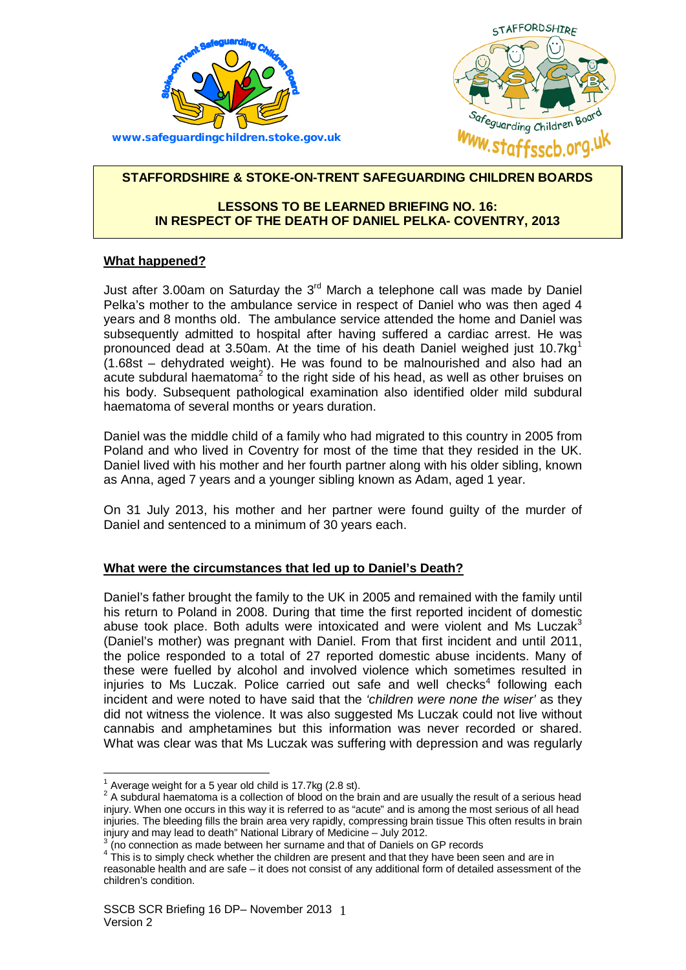



# **STAFFORDSHIRE & STOKE-ON-TRENT SAFEGUARDING CHILDREN BOARDS**

# **LESSONS TO BE LEARNED BRIEFING NO. 16: IN RESPECT OF THE DEATH OF DANIEL PELKA- COVENTRY, 2013**

# **What happened?**

Just after 3.00am on Saturday the  $3^{rd}$  March a telephone call was made by Daniel Pelka's mother to the ambulance service in respect of Daniel who was then aged 4 years and 8 months old. The ambulance service attended the home and Daniel was (1.68st – dehydrated weight). He was found to be malnourished and also had an acute subdural haematoma<sup>2</sup> to the right side of his head, as well as other bruises on subsequently admitted to hospital after having suffered a cardiac arrest. He was pronounced dead at 3.50am. At the time of his death Daniel weighed just [1](#page-0-0)0.7kg<sup>1</sup> his body. Subsequent pathological examination also identified older mild subdural haematoma of several months or years duration.

 Poland and who lived in Coventry for most of the time that they resided in the UK. as Anna, aged 7 years and a younger sibling known as Adam, aged 1 year. Daniel was the middle child of a family who had migrated to this country in 2005 from Daniel lived with his mother and her fourth partner along with his older sibling, known

 On 31 July 2013, his mother and her partner were found guilty of the murder of Daniel and sentenced to a minimum of 30 years each.

## **What were the circumstances that led up to Daniel's Death?**

 his return to Poland in 2008. During that time the first reported incident of domestic abuse took place. Both adults were intoxicated and were violent and Ms Luczak $3$  (Daniel's mother) was pregnant with Daniel. From that first incident and until 2011, the police responded to a total of 27 reported domestic abuse incidents. Many of these were fuelled by alcohol and involved violence which sometimes resulted in What was clear was that Ms Luczak was suffering with depression and was regularly Daniel's father brought the family to the UK in 2005 and remained with the family until injuries to Ms Luczak. Police carried out safe and well checks $4$  following each incident and were noted to have said that the *'children were none the wiser'* as they did not witness the violence. It was also suggested Ms Luczak could not live without cannabis and amphetamines but this information was never recorded or shared.

 $1$  Average weight for a 5 year old child is 17.7kg (2.8 st).

<span id="page-0-4"></span><span id="page-0-1"></span><span id="page-0-0"></span> $^{\rm 1}$  Average weight for a 5 year old child is 17.7kg (2.8 st).<br><sup>2</sup> A subdural haematoma is a collection of blood on the brain and are usually the result of a serious head injury. When one occurs in this way it is referred to as "acute" and is among the most serious of all head injuries. The bleeding fills the brain area very rapidly, compressing brain tissue This often results in brain injury and may lead to death" National Library of Medicine - July 2012.

injury and may lead to death" National Library of Medicine – July 2012.<br><sup>3</sup> (no connection as made between her surname and that of Daniels on GP records

<span id="page-0-3"></span><span id="page-0-2"></span> $4\text{ This}$  is to simply check whether the children are present and that they have been seen and are in reasonable health and are safe – it does not consist of any additional form of detailed assessment of the children's condition.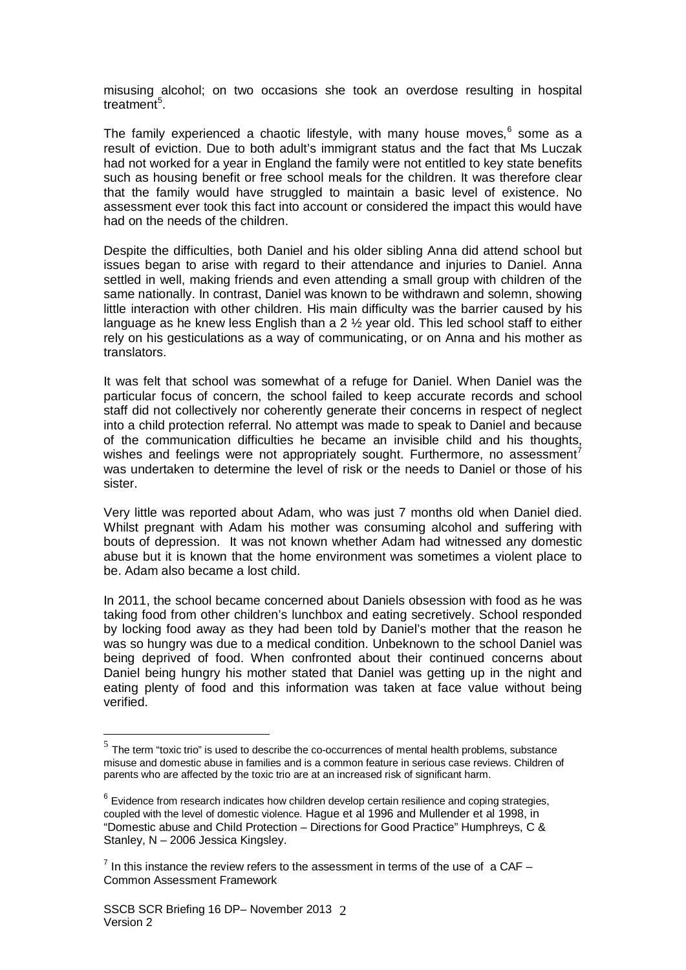misusing alcohol; on two occasions she took an overdose resulting in hospital treatment<sup>[5](#page-0-4)</sup>.

 result of eviction. Due to both adult's immigrant status and the fact that Ms Luczak such as housing benefit or free school meals for the children. It was therefore clear that the family would have struggled to maintain a basic level of existence. No assessment ever took this fact into account or considered the impact this would have The family experienced a chaotic lifestyle, with many house moves, [6](#page-1-0) some as a had not worked for a year in England the family were not entitled to key state benefits had on the needs of the children.

 Despite the difficulties, both Daniel and his older sibling Anna did attend school but settled in well, making friends and even attending a small group with children of the language as he knew less English than a 2 ½ year old. This led school staff to either rely on his gesticulations as a way of communicating, or on Anna and his mother as issues began to arise with regard to their attendance and injuries to Daniel. Anna same nationally. In contrast, Daniel was known to be withdrawn and solemn, showing little interaction with other children. His main difficulty was the barrier caused by his translators.

 It was felt that school was somewhat of a refuge for Daniel. When Daniel was the into a child protection referral. No attempt was made to speak to Daniel and because of the communication difficulties he became an invisible child and his thoughts, was undertaken to determine the level of risk or the needs to Daniel or those of his sister. particular focus of concern, the school failed to keep accurate records and school staff did not collectively nor coherently generate their concerns in respect of neglect wishes and feelings were not appropriately sought. Furthermore, no assessment<sup>[7](#page-1-1)</sup>

sister.<br>Very little was reported about Adam, who was just 7 months old when Daniel died. bouts of depression. It was not known whether Adam had witnessed any domestic abuse but it is known that the home environment was sometimes a violent place to be. Adam also became a lost child. Whilst pregnant with Adam his mother was consuming alcohol and suffering with

 In 2011, the school became concerned about Daniels obsession with food as he was taking food from other children's lunchbox and eating secretively. School responded by locking food away as they had been told by Daniel's mother that the reason he was so hungry was due to a medical condition. Unbeknown to the school Daniel was being deprived of food. When confronted about their continued concerns about Daniel being hungry his mother stated that Daniel was getting up in the night and eating plenty of food and this information was taken at face value without being verified.

 $<sup>5</sup>$  The term "toxic trio" is used to describe the co-occurrences of mental health problems, substance</sup> misuse and domestic abuse in families and is a common feature in serious case reviews. Children of parents who are affected by the toxic trio are at an increased risk of significant harm.

<span id="page-1-2"></span><span id="page-1-0"></span> $6$  Evidence from research indicates how children develop certain resilience and coping strategies, coupled with the level of domestic violence. Hague et al 1996 and Mullender et al 1998, in "Domestic abuse and Child Protection – Directions for Good Practice" Humphreys, C & Stanley, N - 2006 Jessica Kingsley.

<span id="page-1-1"></span>Stanley, N – 2006 Jessica Kingsley.<br><sup>7</sup> In this instance the review refers to the assessment in terms of the use of a CAF – Common Assessment Framework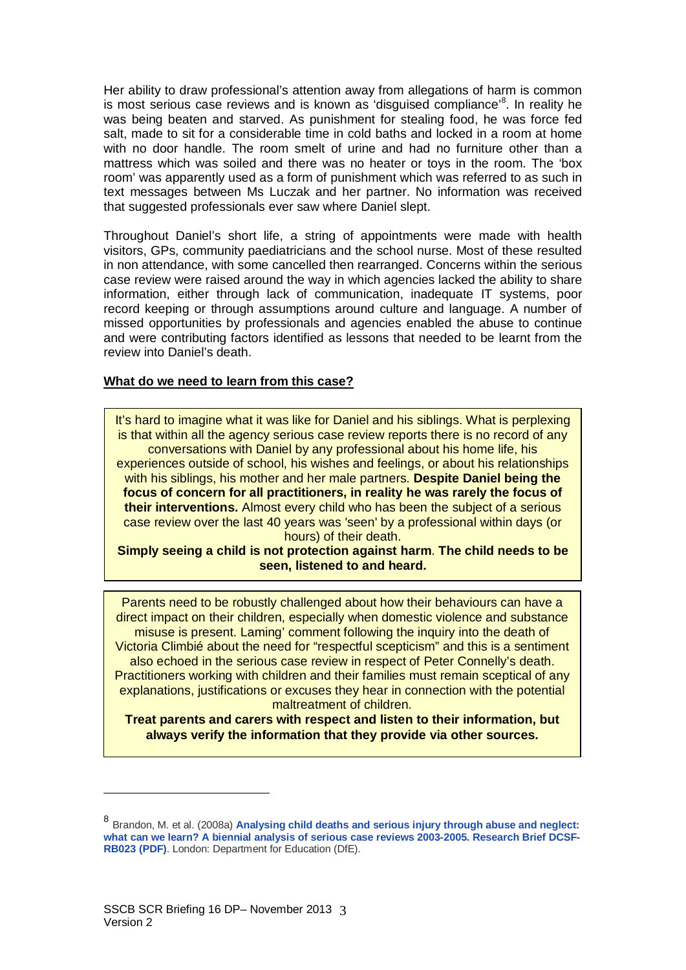is most serious case reviews and is known as 'disguised compliance'<sup>[8](#page-1-2)</sup>. In reality he mattress which was soiled and there was no heater or toys in the room. The 'box text messages between Ms Luczak and her partner. No information was received that suggested professionals ever saw where Daniel slept. Her ability to draw professional's attention away from allegations of harm is common was being beaten and starved. As punishment for stealing food, he was force fed salt, made to sit for a considerable time in cold baths and locked in a room at home with no door handle. The room smelt of urine and had no furniture other than a room' was apparently used as a form of punishment which was referred to as such in

 visitors, GPs, community paediatricians and the school nurse. Most of these resulted information, either through lack of communication, inadequate IT systems, poor record keeping or through assumptions around culture and language. A number of and were contributing factors identified as lessons that needed to be learnt from the Throughout Daniel's short life, a string of appointments were made with health in non attendance, with some cancelled then rearranged. Concerns within the serious case review were raised around the way in which agencies lacked the ability to share missed opportunities by professionals and agencies enabled the abuse to continue review into Daniel's death.

## **What do we need to learn from this case?**

 is that within all the agency serious case review reports there is no record of any conversations with Daniel by any professional about his home life, his experiences outside of school, his wishes and feelings, or about his relationships case review over the last 40 years was 'seen' by a professional within days (or hours) of their death. It's hard to imagine what it was like for Daniel and his siblings. What is perplexing with his siblings, his mother and her male partners. **Despite Daniel being the focus of concern for all practitioners, in reality he was rarely the focus of their interventions.** Almost every child who has been the subject of a serious

**Simply seeing a child is not protection against harm**. **The child needs to be seen, listened to and heard.** 

 Parents need to be robustly challenged about how their behaviours can have a explanations, justifications or excuses they hear in connection with the potential maltreatment of children. direct impact on their children, especially when domestic violence and substance misuse is present. Laming' comment following the inquiry into the death of Victoria Climbié about the need for "respectful scepticism" and this is a sentiment also echoed in the serious case review in respect of Peter Connelly's death. Practitioners working with children and their families must remain sceptical of any

**Treat parents and carers with respect and listen to their information, but always verify the information that they provide via other sources.** 

 8 Brandon, M. et al. (2008a) **[Analysing child deaths and serious injury through abuse and neglect:](http://www.education.gov.uk/publications/eOrderingDownload/DCSF-RR023.pdf)  [what can we learn? A biennial analysis of serious case reviews 2003-2005. Research Brief DCSF-](http://www.education.gov.uk/publications/eOrderingDownload/DCSF-RR023.pdf)[RB023 \(PDF\)](http://www.education.gov.uk/publications/eOrderingDownload/DCSF-RR023.pdf)**. London: Department for Education (DfE).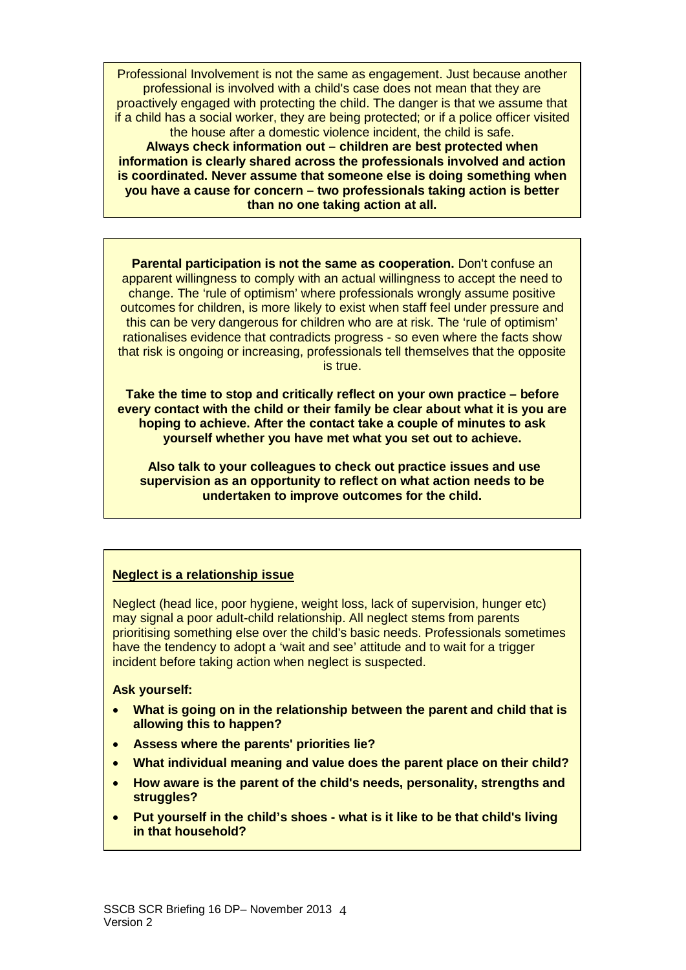if a child has a social worker, they are being protected; or if a police officer visited Professional Involvement is not the same as engagement. Just because another professional is involved with a child's case does not mean that they are proactively engaged with protecting the child. The danger is that we assume that the house after a domestic violence incident, the child is safe.

**Always check information out – children are best protected when information is clearly shared across the professionals involved and action is coordinated. Never assume that someone else is doing something when you have a cause for concern – two professionals taking action is better than no one taking action at all.** 

 outcomes for children, is more likely to exist when staff feel under pressure and this can be very dangerous for children who are at risk. The 'rule of optimism' rationalises evidence that contradicts progress - so even where the facts show **Parental participation is not the same as cooperation.** Don't confuse an apparent willingness to comply with an actual willingness to accept the need to change. The 'rule of optimism' where professionals wrongly assume positive that risk is ongoing or increasing, professionals tell themselves that the opposite is true.

**Take the time to stop and critically reflect on your own practice – before every contact with the child or their family be clear about what it is you are hoping to achieve. After the contact take a couple of minutes to ask yourself whether you have met what you set out to achieve.** 

**Also talk to your colleagues to check out practice issues and use supervision as an opportunity to reflect on what action needs to be undertaken to improve outcomes for the child.** 

# **Neglect is a relationship issue**

 have the tendency to adopt a 'wait and see' attitude and to wait for a trigger Neglect (head lice, poor hygiene, weight loss, lack of supervision, hunger etc) may signal a poor adult-child relationship. All neglect stems from parents prioritising something else over the child's basic needs. Professionals sometimes incident before taking action when neglect is suspected.

### **Ask yourself:**

- **What is going on in the relationship between the parent and child that is allowing this to happen?**
- **Assess where the parents' priorities lie?**
- **What individual meaning and value does the parent place on their child?**
- **How aware is the parent of the child's needs, personality, strengths and struggles?**
- **Put yourself in the child's shoes - what is it like to be that child's living in that household?**